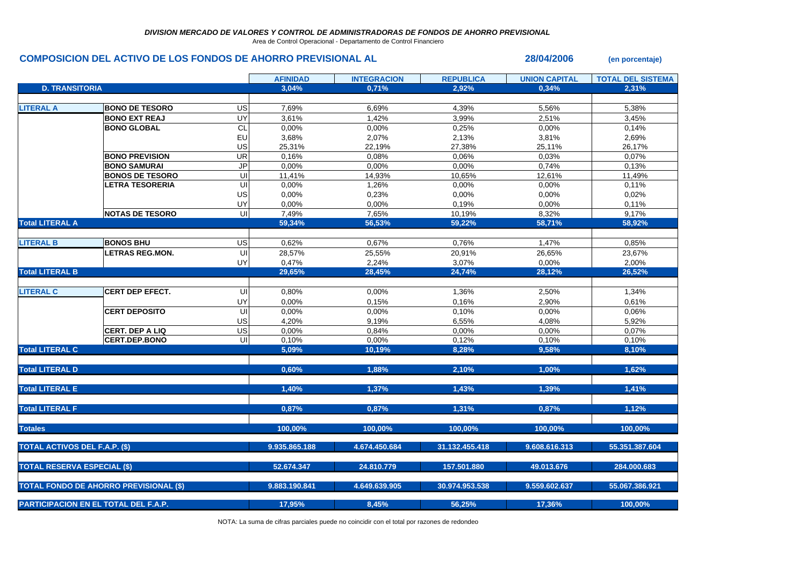Area de Control Operacional - Departamento de Control Financiero

## **COMPOSICION DEL ACTIVO DE LOS FONDOS DE AHORRO PREVISIONAL AL 28/04/2006 (en porcentaje)**

|                                               |                        |           | <b>AFINIDAD</b> | <b>INTEGRACION</b> | <b>REPUBLICA</b> | <b>UNION CAPITAL</b> | <b>TOTAL DEL SISTEMA</b> |
|-----------------------------------------------|------------------------|-----------|-----------------|--------------------|------------------|----------------------|--------------------------|
| <b>D. TRANSITORIA</b>                         |                        |           | 3.04%           | 0.71%              | 2.92%            | 0.34%                | 2.31%                    |
|                                               |                        |           |                 |                    |                  |                      |                          |
| <b>LITERAL A</b>                              | <b>BONO DE TESORO</b>  | US        | 7,69%           | 6,69%              | 4,39%            | 5,56%                | 5,38%                    |
|                                               | <b>BONO EXT REAJ</b>   | UY        | 3,61%           | 1,42%              | 3,99%            | 2,51%                | 3,45%                    |
|                                               | <b>BONO GLOBAL</b>     | <b>CL</b> | 0,00%           | 0,00%              | 0,25%            | 0,00%                | 0,14%                    |
|                                               |                        | EU        | 3,68%           | 2,07%              | 2,13%            | 3,81%                | 2,69%                    |
|                                               |                        | US        | 25,31%          | 22,19%             | 27,38%           | 25,11%               | 26,17%                   |
|                                               | <b>BONO PREVISION</b>  | UR        | 0,16%           | 0,08%              | 0,06%            | 0,03%                | 0,07%                    |
|                                               | <b>BONO SAMURAI</b>    | <b>JP</b> | 0,00%           | 0,00%              | $0.00\%$         | 0,74%                | 0,13%                    |
|                                               | <b>BONOS DE TESORO</b> | UI        | 11,41%          | 14,93%             | 10,65%           | 12,61%               | 11,49%                   |
|                                               | <b>LETRA TESORERIA</b> | UI        | 0,00%           | 1,26%              | 0,00%            | 0,00%                | 0,11%                    |
|                                               |                        | US        | 0,00%           | 0,23%              | 0,00%            | 0,00%                | 0,02%                    |
|                                               |                        | UY        | 0,00%           | 0,00%              | 0,19%            | 0,00%                | 0,11%                    |
|                                               | <b>NOTAS DE TESORO</b> | UI        | 7,49%           | 7,65%              | 10,19%           | 8,32%                | 9,17%                    |
| <b>Total LITERAL A</b>                        |                        |           | 59,34%          | 56,53%             | 59,22%           | 58,71%               | 58,92%                   |
|                                               |                        |           |                 |                    |                  |                      |                          |
| <b>LITERAL B</b>                              | <b>BONOS BHU</b>       | US        | 0,62%           | 0,67%              | 0,76%            | 1,47%                | 0,85%                    |
|                                               | <b>LETRAS REG.MON.</b> | U         | 28,57%          | 25,55%             | 20,91%           | 26,65%               | 23,67%                   |
|                                               |                        | UY        | 0,47%           | 2,24%              | 3,07%            | 0,00%                | 2,00%                    |
| <b>Total LITERAL B</b>                        |                        |           | 29,65%          | 28,45%             | 24,74%           | 28,12%               | 26,52%                   |
|                                               |                        |           |                 |                    |                  |                      |                          |
| <b>LITERAL C</b>                              | <b>CERT DEP EFECT.</b> | UI        | 0,80%           | 0,00%              | 1,36%            | 2,50%                | 1,34%                    |
|                                               |                        | UY        | 0,00%           | 0,15%              | 0.16%            | 2,90%                | 0.61%                    |
|                                               | <b>CERT DEPOSITO</b>   | U         | 0,00%           | 0,00%              | 0,10%            | 0,00%                | 0,06%                    |
|                                               |                        | US        | 4,20%           | 9,19%              | 6,55%            | 4,08%                | 5,92%                    |
|                                               | <b>CERT. DEP A LIQ</b> | US        | 0,00%           | 0,84%              | 0,00%            | 0,00%                | 0,07%                    |
|                                               | <b>CERT.DEP.BONO</b>   | UI        | 0,10%           | 0,00%              | 0,12%            | 0,10%                | 0,10%                    |
| <b>Total LITERAL C</b>                        |                        |           | 5,09%           | 10,19%             | 8.28%            | 9,58%                | 8,10%                    |
|                                               |                        |           |                 |                    |                  |                      |                          |
| <b>Total LITERAL D</b>                        |                        |           | 0,60%           | 1,88%              | 2,10%            | 1,00%                | 1,62%                    |
|                                               |                        |           |                 |                    |                  |                      |                          |
| <b>Total LITERAL E</b>                        |                        |           | 1,40%           | 1,37%              | 1,43%            | 1,39%                | 1,41%                    |
|                                               |                        |           |                 |                    |                  |                      |                          |
| <b>Total LITERAL F</b>                        |                        |           | 0,87%           | 0,87%              | 1,31%            | 0,87%                | 1,12%                    |
|                                               |                        |           |                 |                    |                  |                      |                          |
| <b>Totales</b>                                |                        |           | 100,00%         | 100,00%            | 100,00%          | 100,00%              | 100,00%                  |
|                                               |                        |           |                 |                    |                  |                      |                          |
| TOTAL ACTIVOS DEL F.A.P. (\$)                 |                        |           | 9.935.865.188   | 4.674.450.684      | 31.132.455.418   | 9.608.616.313        | 55.351.387.604           |
|                                               |                        |           |                 |                    |                  |                      |                          |
| <b>TOTAL RESERVA ESPECIAL (\$)</b>            |                        |           | 52.674.347      | 24.810.779         | 157.501.880      | 49.013.676           | 284.000.683              |
|                                               |                        |           |                 |                    |                  |                      |                          |
| <b>TOTAL FONDO DE AHORRO PREVISIONAL (\$)</b> |                        |           | 9.883.190.841   | 4.649.639.905      | 30.974.953.538   | 9.559.602.637        | 55.067.386.921           |
|                                               |                        |           |                 |                    |                  |                      |                          |
| <b>PARTICIPACION EN EL TOTAL DEL F.A.P.</b>   |                        |           | 17,95%          | 8,45%              | 56,25%           | 17,36%               | 100,00%                  |

NOTA: La suma de cifras parciales puede no coincidir con el total por razones de redondeo